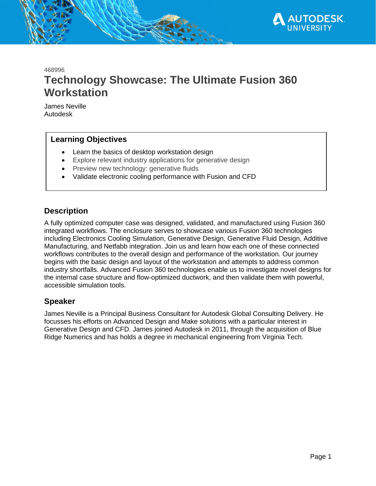

468996

# **Technology Showcase: The Ultimate Fusion 360 Workstation**

James Neville Autodesk

# **Learning Objectives**

- Learn the basics of desktop workstation design
- Explore relevant industry applications for generative design
- Preview new technology: generative fluids
- Validate electronic cooling performance with Fusion and CFD

# **Description**

A fully optimized computer case was designed, validated, and manufactured using Fusion 360 integrated workflows. The enclosure serves to showcase various Fusion 360 technologies including Electronics Cooling Simulation, Generative Design, Generative Fluid Design, Additive Manufacturing, and Netfabb integration. Join us and learn how each one of these connected workflows contributes to the overall design and performance of the workstation. Our journey begins with the basic design and layout of the workstation and attempts to address common industry shortfalls. Advanced Fusion 360 technologies enable us to investigate novel designs for the internal case structure and flow-optimized ductwork, and then validate them with powerful, accessible simulation tools.

# **Speaker**

James Neville is a Principal Business Consultant for Autodesk Global Consulting Delivery. He focusses his efforts on Advanced Design and Make solutions with a particular interest in Generative Design and CFD. James joined Autodesk in 2011, through the acquisition of Blue Ridge Numerics and has holds a degree in mechanical engineering from Virginia Tech.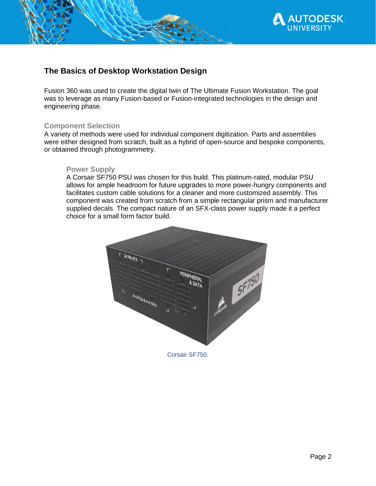

# **The Basics of Desktop Workstation Design**

Fusion 360 was used to create the digital twin of The Ultimate Fusion Workstation. The goal was to leverage as many Fusion-based or Fusion-integrated technologies in the design and engineering phase.

### **Component Selection**

A variety of methods were used for individual component digitization. Parts and assemblies were either designed from scratch, built as a hybrid of open-source and bespoke components, or obtained through photogrammetry.

### **Power Supply**

A Corsair SF750 PSU was chosen for this build. This platinum-rated, modular PSU allows for ample headroom for future upgrades to more power-hungry components and facilitates custom cable solutions for a cleaner and more customized assembly. This component was created from scratch from a simple rectangular prism and manufacturer supplied decals. The compact nature of an SFX-class power supply made it a perfect choice for a small form factor build.



Corsair SF750.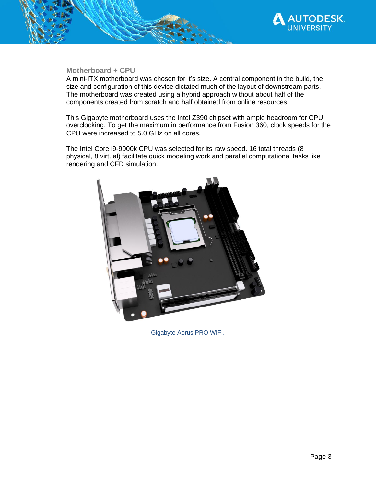

## **Motherboard + CPU**

A mini-ITX motherboard was chosen for it's size. A central component in the build, the size and configuration of this device dictated much of the layout of downstream parts. The motherboard was created using a hybrid approach without about half of the components created from scratch and half obtained from online resources.

This Gigabyte motherboard uses the Intel Z390 chipset with ample headroom for CPU overclocking. To get the maximum in performance from Fusion 360, clock speeds for the CPU were increased to 5.0 GHz on all cores.

The Intel Core i9-9900k CPU was selected for its raw speed. 16 total threads (8 physical, 8 virtual) facilitate quick modeling work and parallel computational tasks like rendering and CFD simulation.



Gigabyte Aorus PRO WIFI.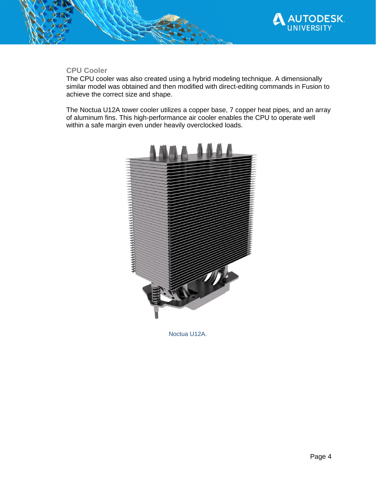

## **CPU Cooler**

The CPU cooler was also created using a hybrid modeling technique. A dimensionally similar model was obtained and then modified with direct-editing commands in Fusion to achieve the correct size and shape.

The Noctua U12A tower cooler utilizes a copper base, 7 copper heat pipes, and an array of aluminum fins. This high-performance air cooler enables the CPU to operate well within a safe margin even under heavily overclocked loads.



Noctua U12A.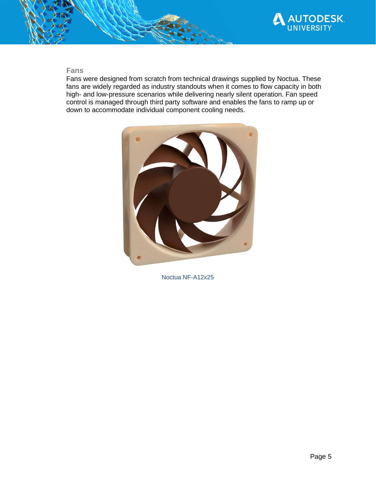

## **Fans**

Fans were designed from scratch from technical drawings supplied by Noctua. These fans are widely regarded as industry standouts when it comes to flow capacity in both high- and low-pressure scenarios while delivering nearly silent operation. Fan speed control is managed through third party software and enables the fans to ramp up or down to accommodate individual component cooling needs.



Noctua NF-A12x25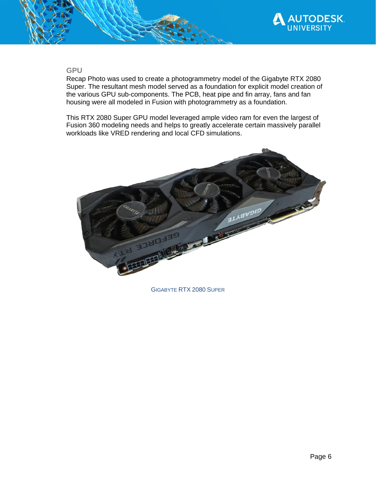

#### **GPU**

Recap Photo was used to create a photogrammetry model of the Gigabyte RTX 2080 Super. The resultant mesh model served as a foundation for explicit model creation of the various GPU sub-components. The PCB, heat pipe and fin array, fans and fan housing were all modeled in Fusion with photogrammetry as a foundation.

This RTX 2080 Super GPU model leveraged ample video ram for even the largest of Fusion 360 modeling needs and helps to greatly accelerate certain massively parallel workloads like VRED rendering and local CFD simulations.



GIGABYTE RTX 2080 SUPER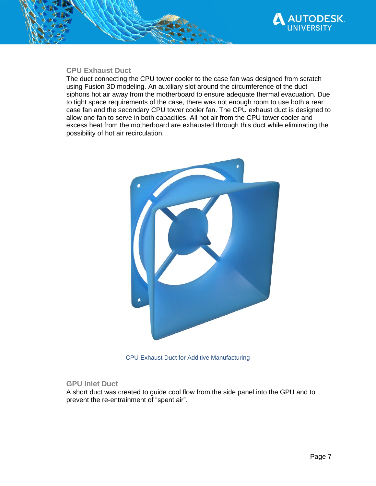

## **CPU Exhaust Duct**

The duct connecting the CPU tower cooler to the case fan was designed from scratch using Fusion 3D modeling. An auxiliary slot around the circumference of the duct siphons hot air away from the motherboard to ensure adequate thermal evacuation. Due to tight space requirements of the case, there was not enough room to use both a rear case fan and the secondary CPU tower cooler fan. The CPU exhaust duct is designed to allow one fan to serve in both capacities. All hot air from the CPU tower cooler and excess heat from the motherboard are exhausted through this duct while eliminating the possibility of hot air recirculation.



CPU Exhaust Duct for Additive Manufacturing

#### **GPU Inlet Duct**

A short duct was created to guide cool flow from the side panel into the GPU and to prevent the re-entrainment of "spent air".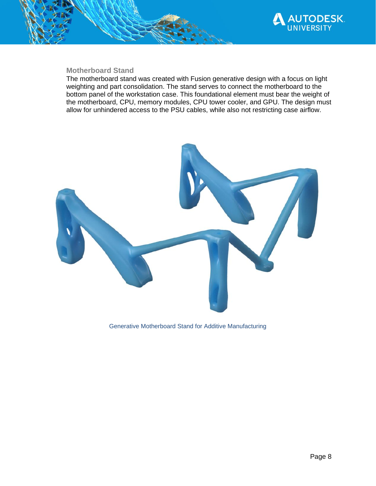

### **Motherboard Stand**

The motherboard stand was created with Fusion generative design with a focus on light weighting and part consolidation. The stand serves to connect the motherboard to the bottom panel of the workstation case. This foundational element must bear the weight of the motherboard, CPU, memory modules, CPU tower cooler, and GPU. The design must allow for unhindered access to the PSU cables, while also not restricting case airflow.



Generative Motherboard Stand for Additive Manufacturing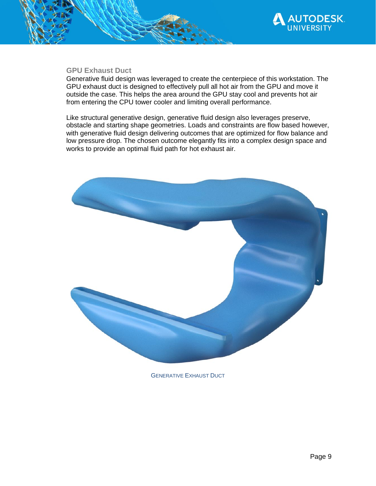

#### **GPU Exhaust Duct**

Generative fluid design was leveraged to create the centerpiece of this workstation. The GPU exhaust duct is designed to effectively pull all hot air from the GPU and move it outside the case. This helps the area around the GPU stay cool and prevents hot air from entering the CPU tower cooler and limiting overall performance.

Like structural generative design, generative fluid design also leverages preserve, obstacle and starting shape geometries. Loads and constraints are flow based however, with generative fluid design delivering outcomes that are optimized for flow balance and low pressure drop. The chosen outcome elegantly fits into a complex design space and works to provide an optimal fluid path for hot exhaust air.



**GENERATIVE EXHAUST DUCT**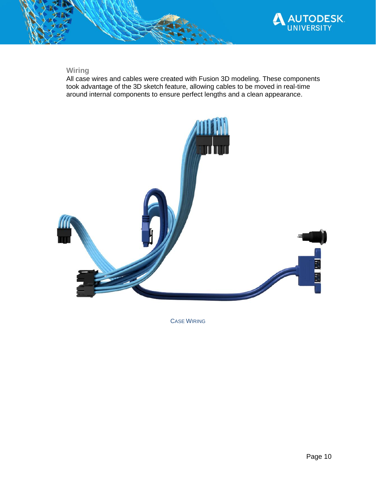

# **Wiring**

All case wires and cables were created with Fusion 3D modeling. These components took advantage of the 3D sketch feature, allowing cables to be moved in real-time around internal components to ensure perfect lengths and a clean appearance.



CASE WIRING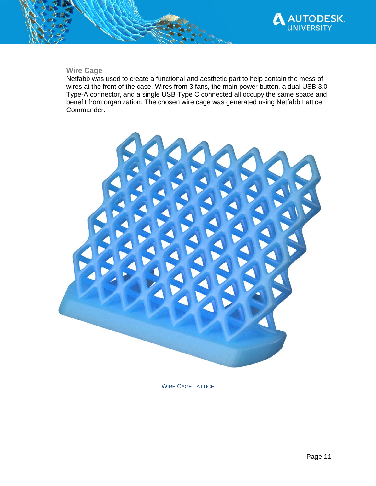

## **Wire Cage**

Netfabb was used to create a functional and aesthetic part to help contain the mess of wires at the front of the case. Wires from 3 fans, the main power button, a dual USB 3.0 Type-A connector, and a single USB Type C connected all occupy the same space and benefit from organization. The chosen wire cage was generated using Netfabb Lattice Commander.



WIRE CAGE LATTICE